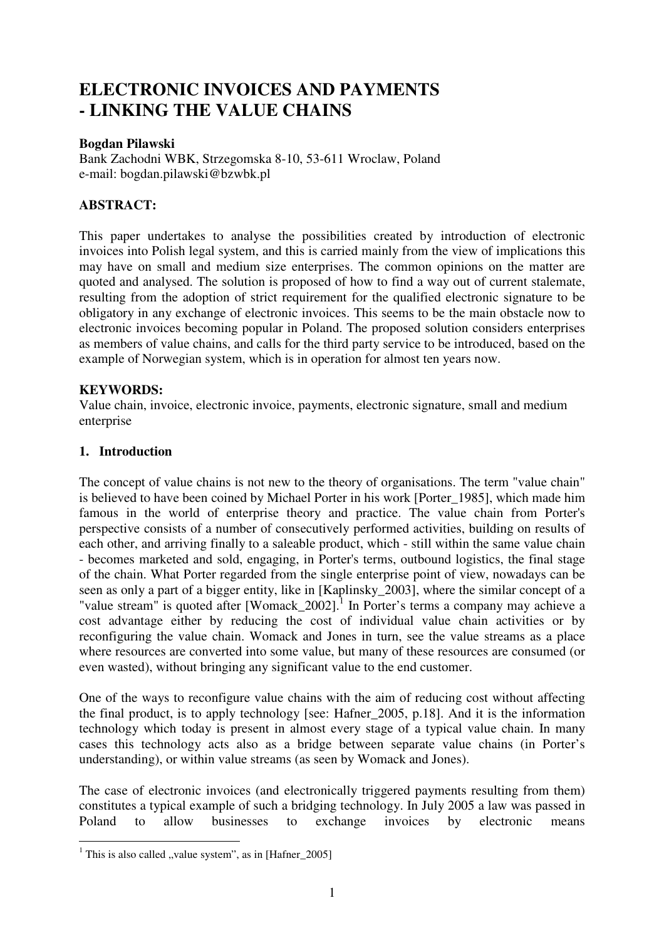# **ELECTRONIC INVOICES AND PAYMENTS - LINKING THE VALUE CHAINS**

#### **Bogdan Pilawski**

Bank Zachodni WBK, Strzegomska 8-10, 53-611 Wroclaw, Poland e-mail: bogdan.pilawski@bzwbk.pl

## **ABSTRACT:**

This paper undertakes to analyse the possibilities created by introduction of electronic invoices into Polish legal system, and this is carried mainly from the view of implications this may have on small and medium size enterprises. The common opinions on the matter are quoted and analysed. The solution is proposed of how to find a way out of current stalemate, resulting from the adoption of strict requirement for the qualified electronic signature to be obligatory in any exchange of electronic invoices. This seems to be the main obstacle now to electronic invoices becoming popular in Poland. The proposed solution considers enterprises as members of value chains, and calls for the third party service to be introduced, based on the example of Norwegian system, which is in operation for almost ten years now.

### **KEYWORDS:**

Value chain, invoice, electronic invoice, payments, electronic signature, small and medium enterprise

### **1. Introduction**

The concept of value chains is not new to the theory of organisations. The term "value chain" is believed to have been coined by Michael Porter in his work [Porter 1985], which made him famous in the world of enterprise theory and practice. The value chain from Porter's perspective consists of a number of consecutively performed activities, building on results of each other, and arriving finally to a saleable product, which - still within the same value chain - becomes marketed and sold, engaging, in Porter's terms, outbound logistics, the final stage of the chain. What Porter regarded from the single enterprise point of view, nowadays can be seen as only a part of a bigger entity, like in [Kaplinsky\_2003], where the similar concept of a "value stream" is quoted after [Womack\_2002]. $^1$  In Porter's terms a company may achieve a cost advantage either by reducing the cost of individual value chain activities or by reconfiguring the value chain. Womack and Jones in turn, see the value streams as a place where resources are converted into some value, but many of these resources are consumed (or even wasted), without bringing any significant value to the end customer.

One of the ways to reconfigure value chains with the aim of reducing cost without affecting the final product, is to apply technology [see: Hafner\_2005, p.18]. And it is the information technology which today is present in almost every stage of a typical value chain. In many cases this technology acts also as a bridge between separate value chains (in Porter's understanding), or within value streams (as seen by Womack and Jones).

The case of electronic invoices (and electronically triggered payments resulting from them) constitutes a typical example of such a bridging technology. In July 2005 a law was passed in Poland to allow businesses to exchange invoices by electronic means

<sup>&</sup>lt;sup>1</sup> This is also called "value system", as in [Hafner\_2005]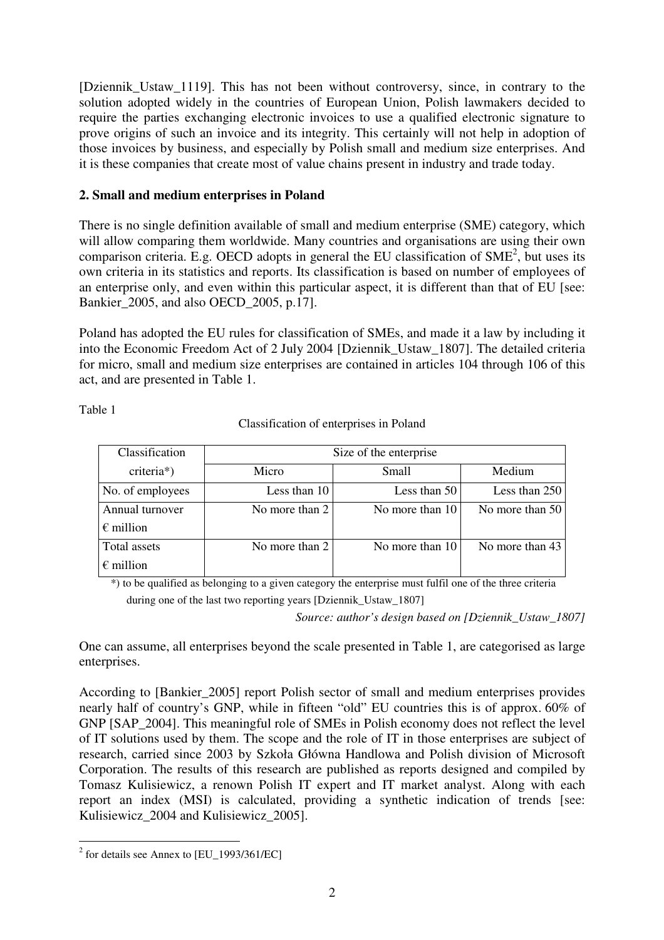[Dziennik Ustaw 1119]. This has not been without controversy, since, in contrary to the solution adopted widely in the countries of European Union, Polish lawmakers decided to require the parties exchanging electronic invoices to use a qualified electronic signature to prove origins of such an invoice and its integrity. This certainly will not help in adoption of those invoices by business, and especially by Polish small and medium size enterprises. And it is these companies that create most of value chains present in industry and trade today.

# **2. Small and medium enterprises in Poland**

There is no single definition available of small and medium enterprise (SME) category, which will allow comparing them worldwide. Many countries and organisations are using their own comparison criteria. E.g. OECD adopts in general the EU classification of  $SME<sup>2</sup>$ , but uses its own criteria in its statistics and reports. Its classification is based on number of employees of an enterprise only, and even within this particular aspect, it is different than that of EU [see: Bankier\_2005, and also OECD\_2005, p.17].

Poland has adopted the EU rules for classification of SMEs, and made it a law by including it into the Economic Freedom Act of 2 July 2004 [Dziennik\_Ustaw\_1807]. The detailed criteria for micro, small and medium size enterprises are contained in articles 104 through 106 of this act, and are presented in Table 1.

Table 1

Classification of enterprises in Poland

| Classification                        | Size of the enterprise |                 |                 |
|---------------------------------------|------------------------|-----------------|-----------------|
| criteria*)                            | Micro                  | Small           | Medium          |
| No. of employees                      | Less than 10           | Less than 50    | Less than 250   |
| Annual turnover<br>$\epsilon$ million | No more than $2$       | No more than 10 | No more than 50 |
| Total assets<br>$\epsilon$ million    | No more than 2         | No more than 10 | No more than 43 |

\*) to be qualified as belonging to a given category the enterprise must fulfil one of the three criteria

during one of the last two reporting years [Dziennik\_Ustaw\_1807]

*Source: author's design based on [Dziennik\_Ustaw\_1807]* 

One can assume, all enterprises beyond the scale presented in Table 1, are categorised as large enterprises.

According to [Bankier\_2005] report Polish sector of small and medium enterprises provides nearly half of country's GNP, while in fifteen "old" EU countries this is of approx. 60% of GNP [SAP\_2004]. This meaningful role of SMEs in Polish economy does not reflect the level of IT solutions used by them. The scope and the role of IT in those enterprises are subject of research, carried since 2003 by Szkoła Główna Handlowa and Polish division of Microsoft Corporation. The results of this research are published as reports designed and compiled by Tomasz Kulisiewicz, a renown Polish IT expert and IT market analyst. Along with each report an index (MSI) is calculated, providing a synthetic indication of trends [see: Kulisiewicz 2004 and Kulisiewicz 2005].

<sup>&</sup>lt;sup>2</sup> for details see Annex to [EU\_1993/361/EC]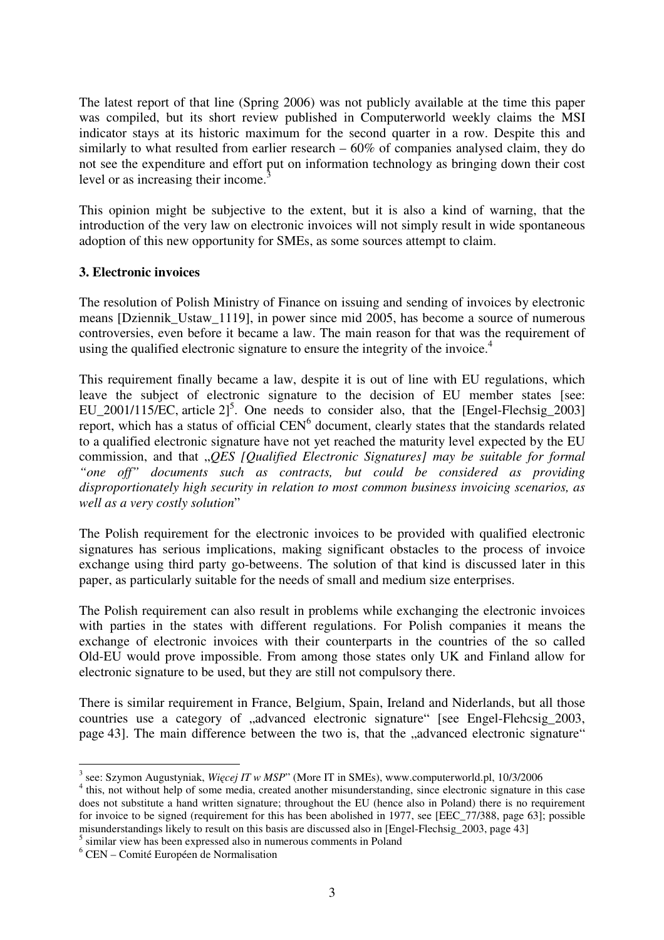The latest report of that line (Spring 2006) was not publicly available at the time this paper was compiled, but its short review published in Computerworld weekly claims the MSI indicator stays at its historic maximum for the second quarter in a row. Despite this and similarly to what resulted from earlier research – 60% of companies analysed claim, they do not see the expenditure and effort put on information technology as bringing down their cost level or as increasing their income. $3$ 

This opinion might be subjective to the extent, but it is also a kind of warning, that the introduction of the very law on electronic invoices will not simply result in wide spontaneous adoption of this new opportunity for SMEs, as some sources attempt to claim.

# **3. Electronic invoices**

The resolution of Polish Ministry of Finance on issuing and sending of invoices by electronic means [Dziennik\_Ustaw\_1119], in power since mid 2005, has become a source of numerous controversies, even before it became a law. The main reason for that was the requirement of using the qualified electronic signature to ensure the integrity of the invoice.<sup>4</sup>

This requirement finally became a law, despite it is out of line with EU regulations, which leave the subject of electronic signature to the decision of EU member states [see:  $EU_2001/115/EC$ , article  $2]^5$ . One needs to consider also, that the [Engel-Flechsig<sub>2003]</sub> report, which has a status of official CEN<sup>6</sup> document, clearly states that the standards related to a qualified electronic signature have not yet reached the maturity level expected by the EU commission, and that "*QES [Qualified Electronic Signatures] may be suitable for formal "one off" documents such as contracts, but could be considered as providing disproportionately high security in relation to most common business invoicing scenarios, as well as a very costly solution*"

The Polish requirement for the electronic invoices to be provided with qualified electronic signatures has serious implications, making significant obstacles to the process of invoice exchange using third party go-betweens. The solution of that kind is discussed later in this paper, as particularly suitable for the needs of small and medium size enterprises.

The Polish requirement can also result in problems while exchanging the electronic invoices with parties in the states with different regulations. For Polish companies it means the exchange of electronic invoices with their counterparts in the countries of the so called Old-EU would prove impossible. From among those states only UK and Finland allow for electronic signature to be used, but they are still not compulsory there.

There is similar requirement in France, Belgium, Spain, Ireland and Niderlands, but all those countries use a category of "advanced electronic signature" [see Engel-Flehcsig 2003, page 43]. The main difference between the two is, that the "advanced electronic signature"

 $\overline{a}$ 3 see: Szymon Augustyniak, *Wi*ę*cej IT w MSP*" (More IT in SMEs), www.computerworld.pl, 10/3/2006

<sup>&</sup>lt;sup>4</sup> this, not without help of some media, created another misunderstanding, since electronic signature in this case does not substitute a hand written signature; throughout the EU (hence also in Poland) there is no requirement for invoice to be signed (requirement for this has been abolished in 1977, see [EEC\_77/388, page 63]; possible misunderstandings likely to result on this basis are discussed also in [Engel-Flechsig\_2003, page 43]

<sup>&</sup>lt;sup>5</sup> similar view has been expressed also in numerous comments in Poland

<sup>6</sup> CEN – Comité Européen de Normalisation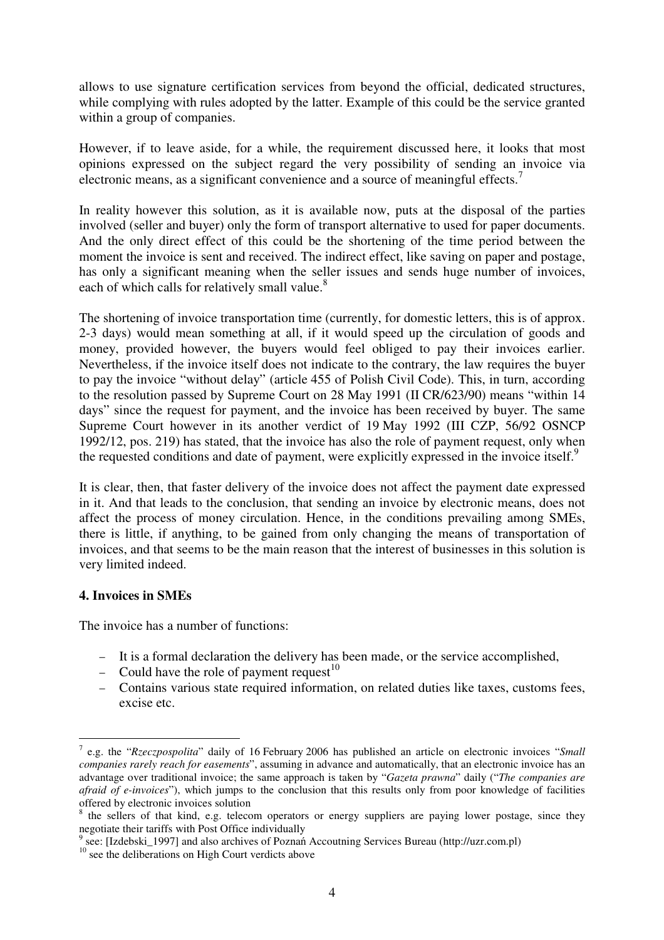allows to use signature certification services from beyond the official, dedicated structures, while complying with rules adopted by the latter. Example of this could be the service granted within a group of companies.

However, if to leave aside, for a while, the requirement discussed here, it looks that most opinions expressed on the subject regard the very possibility of sending an invoice via electronic means, as a significant convenience and a source of meaningful effects.<sup>7</sup>

In reality however this solution, as it is available now, puts at the disposal of the parties involved (seller and buyer) only the form of transport alternative to used for paper documents. And the only direct effect of this could be the shortening of the time period between the moment the invoice is sent and received. The indirect effect, like saving on paper and postage, has only a significant meaning when the seller issues and sends huge number of invoices, each of which calls for relatively small value.<sup>8</sup>

The shortening of invoice transportation time (currently, for domestic letters, this is of approx. 2-3 days) would mean something at all, if it would speed up the circulation of goods and money, provided however, the buyers would feel obliged to pay their invoices earlier. Nevertheless, if the invoice itself does not indicate to the contrary, the law requires the buyer to pay the invoice "without delay" (article 455 of Polish Civil Code). This, in turn, according to the resolution passed by Supreme Court on 28 May 1991 (II CR/623/90) means "within 14 days" since the request for payment, and the invoice has been received by buyer. The same Supreme Court however in its another verdict of 19 May 1992 (III CZP, 56/92 OSNCP 1992/12, pos. 219) has stated, that the invoice has also the role of payment request, only when the requested conditions and date of payment, were explicitly expressed in the invoice itself.<sup>9</sup>

It is clear, then, that faster delivery of the invoice does not affect the payment date expressed in it. And that leads to the conclusion, that sending an invoice by electronic means, does not affect the process of money circulation. Hence, in the conditions prevailing among SMEs, there is little, if anything, to be gained from only changing the means of transportation of invoices, and that seems to be the main reason that the interest of businesses in this solution is very limited indeed.

#### **4. Invoices in SMEs**

 $\overline{a}$ 

The invoice has a number of functions:

- − It is a formal declaration the delivery has been made, or the service accomplished,
- − Could have the role of payment request<sup>10</sup>
- − Contains various state required information, on related duties like taxes, customs fees, excise etc.

<sup>7</sup> e.g. the "*Rzeczpospolita*" daily of 16 February 2006 has published an article on electronic invoices "*Small companies rarely reach for easements*", assuming in advance and automatically, that an electronic invoice has an advantage over traditional invoice; the same approach is taken by "*Gazeta prawna*" daily ("*The companies are afraid of e-invoices*"), which jumps to the conclusion that this results only from poor knowledge of facilities offered by electronic invoices solution

<sup>8</sup> the sellers of that kind, e.g. telecom operators or energy suppliers are paying lower postage, since they negotiate their tariffs with Post Office individually

<sup>9</sup> see: [Izdebski\_1997] and also archives of Poznań Accoutning Services Bureau (http://uzr.com.pl)

 $10$  see the deliberations on High Court verdicts above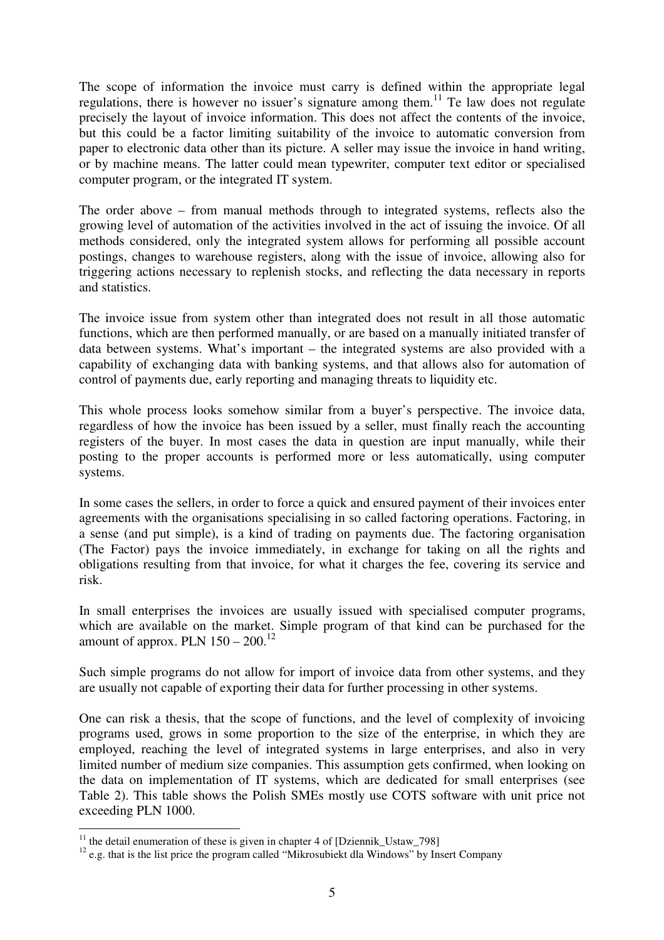The scope of information the invoice must carry is defined within the appropriate legal regulations, there is however no issuer's signature among them.<sup>11</sup> Te law does not regulate precisely the layout of invoice information. This does not affect the contents of the invoice, but this could be a factor limiting suitability of the invoice to automatic conversion from paper to electronic data other than its picture. A seller may issue the invoice in hand writing, or by machine means. The latter could mean typewriter, computer text editor or specialised computer program, or the integrated IT system.

The order above – from manual methods through to integrated systems, reflects also the growing level of automation of the activities involved in the act of issuing the invoice. Of all methods considered, only the integrated system allows for performing all possible account postings, changes to warehouse registers, along with the issue of invoice, allowing also for triggering actions necessary to replenish stocks, and reflecting the data necessary in reports and statistics.

The invoice issue from system other than integrated does not result in all those automatic functions, which are then performed manually, or are based on a manually initiated transfer of data between systems. What's important – the integrated systems are also provided with a capability of exchanging data with banking systems, and that allows also for automation of control of payments due, early reporting and managing threats to liquidity etc.

This whole process looks somehow similar from a buyer's perspective. The invoice data, regardless of how the invoice has been issued by a seller, must finally reach the accounting registers of the buyer. In most cases the data in question are input manually, while their posting to the proper accounts is performed more or less automatically, using computer systems.

In some cases the sellers, in order to force a quick and ensured payment of their invoices enter agreements with the organisations specialising in so called factoring operations. Factoring, in a sense (and put simple), is a kind of trading on payments due. The factoring organisation (The Factor) pays the invoice immediately, in exchange for taking on all the rights and obligations resulting from that invoice, for what it charges the fee, covering its service and risk.

In small enterprises the invoices are usually issued with specialised computer programs, which are available on the market. Simple program of that kind can be purchased for the amount of approx. PLN  $150 - 200$ .<sup>12</sup>

Such simple programs do not allow for import of invoice data from other systems, and they are usually not capable of exporting their data for further processing in other systems.

One can risk a thesis, that the scope of functions, and the level of complexity of invoicing programs used, grows in some proportion to the size of the enterprise, in which they are employed, reaching the level of integrated systems in large enterprises, and also in very limited number of medium size companies. This assumption gets confirmed, when looking on the data on implementation of IT systems, which are dedicated for small enterprises (see Table 2). This table shows the Polish SMEs mostly use COTS software with unit price not exceeding PLN 1000.

 $\overline{a}$ 

 $11$  the detail enumeration of these is given in chapter 4 of [Dziennik\_Ustaw\_798]

<sup>&</sup>lt;sup>12</sup> e.g. that is the list price the program called "Mikrosubiekt dla Windows" by Insert Company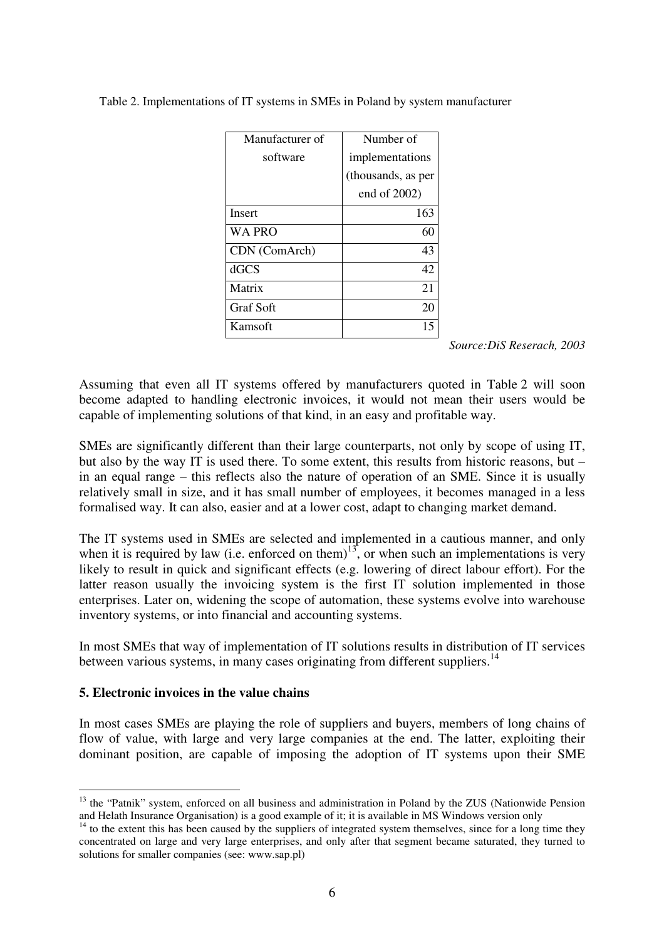| Manufacturer of  | Number of          |
|------------------|--------------------|
| software         | implementations    |
|                  | (thousands, as per |
|                  | end of $2002$ )    |
| <b>Insert</b>    | 163                |
| <b>WA PRO</b>    | 60                 |
| CDN (ComArch)    | 43                 |
| dGCS             | 42                 |
| Matrix           | 21                 |
| <b>Graf Soft</b> | 20                 |
| Kamsoft          | 15                 |

Table 2. Implementations of IT systems in SMEs in Poland by system manufacturer

*Source:DiS Reserach, 2003* 

Assuming that even all IT systems offered by manufacturers quoted in Table 2 will soon become adapted to handling electronic invoices, it would not mean their users would be capable of implementing solutions of that kind, in an easy and profitable way.

SMEs are significantly different than their large counterparts, not only by scope of using IT, but also by the way IT is used there. To some extent, this results from historic reasons, but – in an equal range – this reflects also the nature of operation of an SME. Since it is usually relatively small in size, and it has small number of employees, it becomes managed in a less formalised way. It can also, easier and at a lower cost, adapt to changing market demand.

The IT systems used in SMEs are selected and implemented in a cautious manner, and only when it is required by law (i.e. enforced on them)<sup>13</sup>, or when such an implementations is very likely to result in quick and significant effects (e.g. lowering of direct labour effort). For the latter reason usually the invoicing system is the first IT solution implemented in those enterprises. Later on, widening the scope of automation, these systems evolve into warehouse inventory systems, or into financial and accounting systems.

In most SMEs that way of implementation of IT solutions results in distribution of IT services between various systems, in many cases originating from different suppliers.<sup>14</sup>

#### **5. Electronic invoices in the value chains**

 $\overline{a}$ 

In most cases SMEs are playing the role of suppliers and buyers, members of long chains of flow of value, with large and very large companies at the end. The latter, exploiting their dominant position, are capable of imposing the adoption of IT systems upon their SME

<sup>&</sup>lt;sup>13</sup> the "Patnik" system, enforced on all business and administration in Poland by the ZUS (Nationwide Pension and Helath Insurance Organisation) is a good example of it; it is available in MS Windows version only

 $14$  to the extent this has been caused by the suppliers of integrated system themselves, since for a long time they concentrated on large and very large enterprises, and only after that segment became saturated, they turned to solutions for smaller companies (see: www.sap.pl)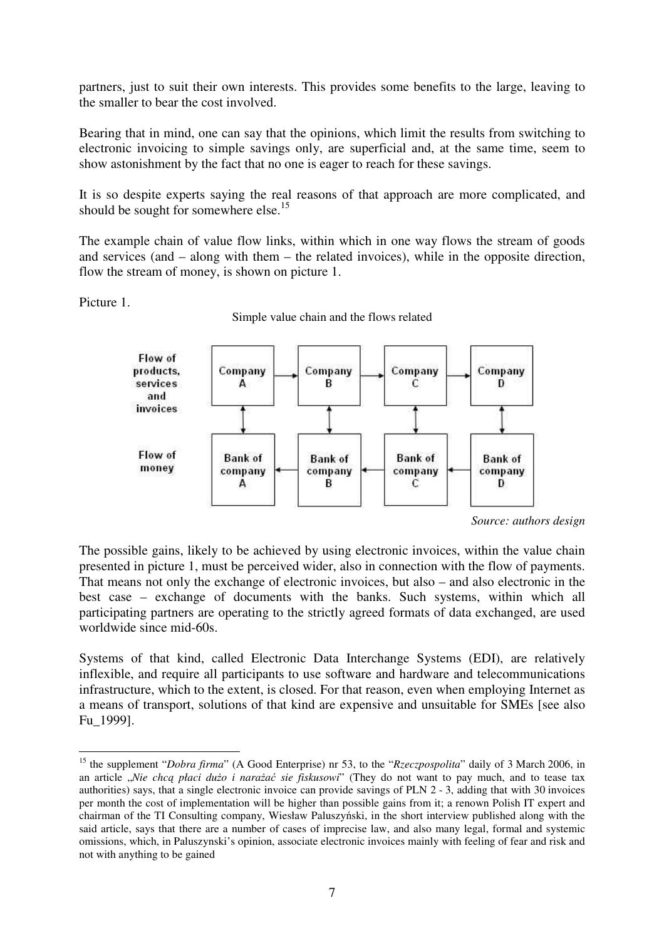partners, just to suit their own interests. This provides some benefits to the large, leaving to the smaller to bear the cost involved.

Bearing that in mind, one can say that the opinions, which limit the results from switching to electronic invoicing to simple savings only, are superficial and, at the same time, seem to show astonishment by the fact that no one is eager to reach for these savings.

It is so despite experts saying the real reasons of that approach are more complicated, and should be sought for somewhere else.<sup>15</sup>

The example chain of value flow links, within which in one way flows the stream of goods and services (and – along with them – the related invoices), while in the opposite direction, flow the stream of money, is shown on picture 1.

Picture 1.

 $\overline{a}$ 

Simple value chain and the flows related



*Source: authors design* 

The possible gains, likely to be achieved by using electronic invoices, within the value chain presented in picture 1, must be perceived wider, also in connection with the flow of payments. That means not only the exchange of electronic invoices, but also – and also electronic in the best case – exchange of documents with the banks. Such systems, within which all participating partners are operating to the strictly agreed formats of data exchanged, are used worldwide since mid-60s.

Systems of that kind, called Electronic Data Interchange Systems (EDI), are relatively inflexible, and require all participants to use software and hardware and telecommunications infrastructure, which to the extent, is closed. For that reason, even when employing Internet as a means of transport, solutions of that kind are expensive and unsuitable for SMEs [see also Fu\_1999].

<sup>&</sup>lt;sup>15</sup> the supplement "*Dobra firma*" (A Good Enterprise) nr 53, to the "*Rzeczpospolita*" daily of 3 March 2006, in an article "Nie chc*ą płaci dużo i narażać sie fiskusowi*" (They do not want to pay much, and to tease tax authorities) says, that a single electronic invoice can provide savings of PLN 2 - 3, adding that with 30 invoices per month the cost of implementation will be higher than possible gains from it; a renown Polish IT expert and chairman of the TI Consulting company, Wiesław Paluszyński, in the short interview published along with the said article, says that there are a number of cases of imprecise law, and also many legal, formal and systemic omissions, which, in Paluszynski's opinion, associate electronic invoices mainly with feeling of fear and risk and not with anything to be gained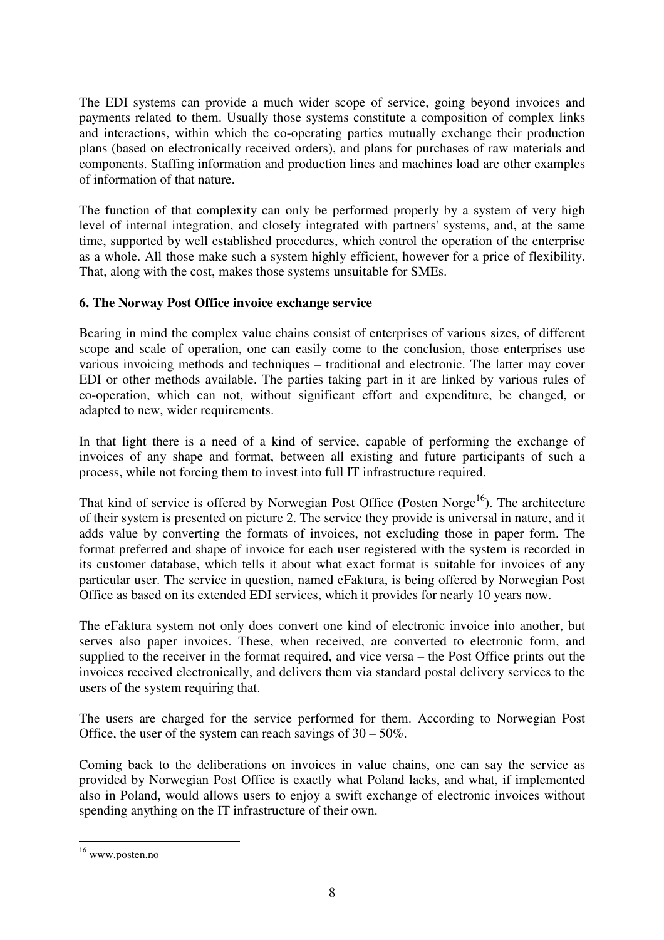The EDI systems can provide a much wider scope of service, going beyond invoices and payments related to them. Usually those systems constitute a composition of complex links and interactions, within which the co-operating parties mutually exchange their production plans (based on electronically received orders), and plans for purchases of raw materials and components. Staffing information and production lines and machines load are other examples of information of that nature.

The function of that complexity can only be performed properly by a system of very high level of internal integration, and closely integrated with partners' systems, and, at the same time, supported by well established procedures, which control the operation of the enterprise as a whole. All those make such a system highly efficient, however for a price of flexibility. That, along with the cost, makes those systems unsuitable for SMEs.

### **6. The Norway Post Office invoice exchange service**

Bearing in mind the complex value chains consist of enterprises of various sizes, of different scope and scale of operation, one can easily come to the conclusion, those enterprises use various invoicing methods and techniques – traditional and electronic. The latter may cover EDI or other methods available. The parties taking part in it are linked by various rules of co-operation, which can not, without significant effort and expenditure, be changed, or adapted to new, wider requirements.

In that light there is a need of a kind of service, capable of performing the exchange of invoices of any shape and format, between all existing and future participants of such a process, while not forcing them to invest into full IT infrastructure required.

That kind of service is offered by Norwegian Post Office (Posten Norge<sup>16</sup>). The architecture of their system is presented on picture 2. The service they provide is universal in nature, and it adds value by converting the formats of invoices, not excluding those in paper form. The format preferred and shape of invoice for each user registered with the system is recorded in its customer database, which tells it about what exact format is suitable for invoices of any particular user. The service in question, named eFaktura, is being offered by Norwegian Post Office as based on its extended EDI services, which it provides for nearly 10 years now.

The eFaktura system not only does convert one kind of electronic invoice into another, but serves also paper invoices. These, when received, are converted to electronic form, and supplied to the receiver in the format required, and vice versa – the Post Office prints out the invoices received electronically, and delivers them via standard postal delivery services to the users of the system requiring that.

The users are charged for the service performed for them. According to Norwegian Post Office, the user of the system can reach savings of  $30 - 50\%$ .

Coming back to the deliberations on invoices in value chains, one can say the service as provided by Norwegian Post Office is exactly what Poland lacks, and what, if implemented also in Poland, would allows users to enjoy a swift exchange of electronic invoices without spending anything on the IT infrastructure of their own.

 $\overline{a}$ <sup>16</sup> www.posten.no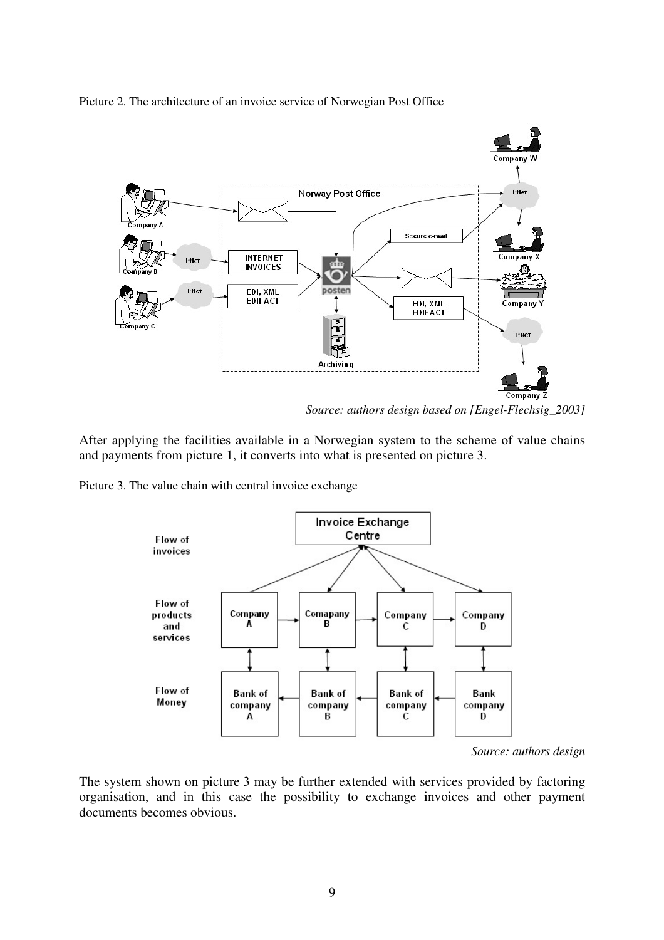Picture 2. The architecture of an invoice service of Norwegian Post Office



*Source: authors design based on [Engel-Flechsig\_2003]* 

After applying the facilities available in a Norwegian system to the scheme of value chains and payments from picture 1, it converts into what is presented on picture 3.

Picture 3. The value chain with central invoice exchange



*Source: authors design* 

The system shown on picture 3 may be further extended with services provided by factoring organisation, and in this case the possibility to exchange invoices and other payment documents becomes obvious.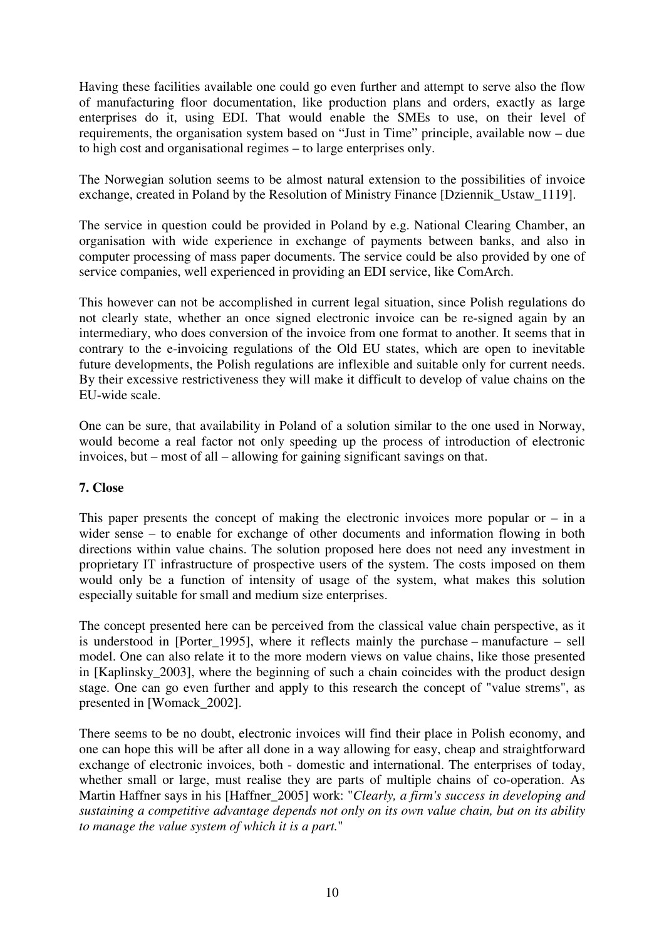Having these facilities available one could go even further and attempt to serve also the flow of manufacturing floor documentation, like production plans and orders, exactly as large enterprises do it, using EDI. That would enable the SMEs to use, on their level of requirements, the organisation system based on "Just in Time" principle, available now – due to high cost and organisational regimes – to large enterprises only.

The Norwegian solution seems to be almost natural extension to the possibilities of invoice exchange, created in Poland by the Resolution of Ministry Finance [Dziennik\_Ustaw\_1119].

The service in question could be provided in Poland by e.g. National Clearing Chamber, an organisation with wide experience in exchange of payments between banks, and also in computer processing of mass paper documents. The service could be also provided by one of service companies, well experienced in providing an EDI service, like ComArch.

This however can not be accomplished in current legal situation, since Polish regulations do not clearly state, whether an once signed electronic invoice can be re-signed again by an intermediary, who does conversion of the invoice from one format to another. It seems that in contrary to the e-invoicing regulations of the Old EU states, which are open to inevitable future developments, the Polish regulations are inflexible and suitable only for current needs. By their excessive restrictiveness they will make it difficult to develop of value chains on the EU-wide scale.

One can be sure, that availability in Poland of a solution similar to the one used in Norway, would become a real factor not only speeding up the process of introduction of electronic invoices, but – most of all – allowing for gaining significant savings on that.

# **7. Close**

This paper presents the concept of making the electronic invoices more popular or  $-$  in a wider sense – to enable for exchange of other documents and information flowing in both directions within value chains. The solution proposed here does not need any investment in proprietary IT infrastructure of prospective users of the system. The costs imposed on them would only be a function of intensity of usage of the system, what makes this solution especially suitable for small and medium size enterprises.

The concept presented here can be perceived from the classical value chain perspective, as it is understood in [Porter 1995], where it reflects mainly the purchase – manufacture – sell model. One can also relate it to the more modern views on value chains, like those presented in [Kaplinsky\_2003], where the beginning of such a chain coincides with the product design stage. One can go even further and apply to this research the concept of "value strems", as presented in [Womack\_2002].

There seems to be no doubt, electronic invoices will find their place in Polish economy, and one can hope this will be after all done in a way allowing for easy, cheap and straightforward exchange of electronic invoices, both - domestic and international. The enterprises of today, whether small or large, must realise they are parts of multiple chains of co-operation. As Martin Haffner says in his [Haffner\_2005] work: "*Clearly, a firm's success in developing and sustaining a competitive advantage depends not only on its own value chain, but on its ability to manage the value system of which it is a part.*"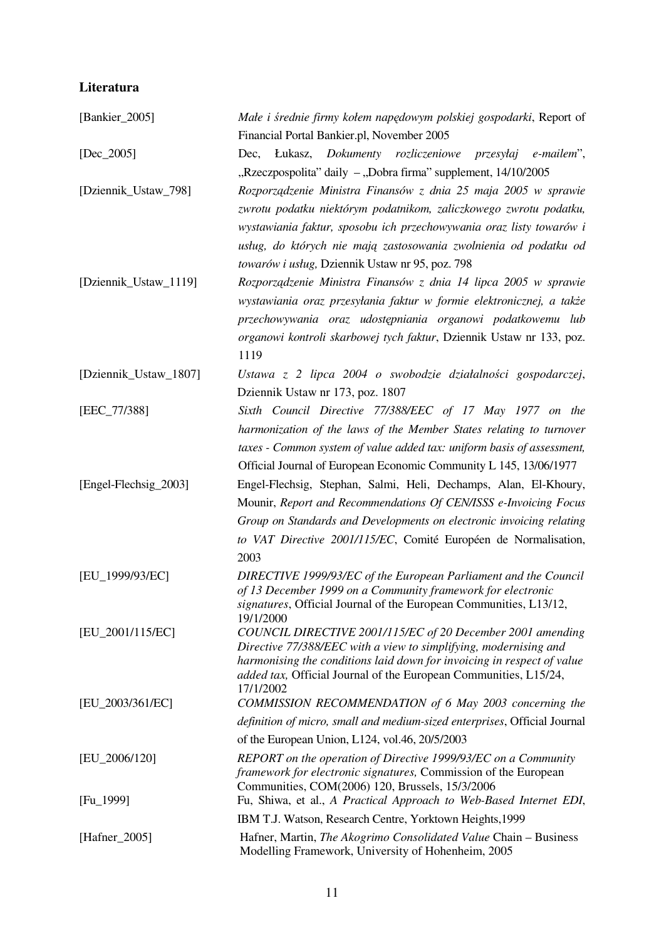# **Literatura**

| [Bankier_2005]        | Małe i średnie firmy kołem napędowym polskiej gospodarki, Report of                                                           |
|-----------------------|-------------------------------------------------------------------------------------------------------------------------------|
|                       | Financial Portal Bankier.pl, November 2005                                                                                    |
| $[Dec_2 2005]$        | Dec, Łukasz, Dokumenty rozliczeniowe przesyłaj<br>e-mailem",<br>"Rzeczpospolita" daily – "Dobra firma" supplement, 14/10/2005 |
| [Dziennik_Ustaw_798]  | Rozporządzenie Ministra Finansów z dnia 25 maja 2005 w sprawie                                                                |
|                       | zwrotu podatku niektórym podatnikom, zaliczkowego zwrotu podatku,                                                             |
|                       | wystawiania faktur, sposobu ich przechowywania oraz listy towarów i                                                           |
|                       | usług, do których nie mają zastosowania zwolnienia od podatku od                                                              |
|                       |                                                                                                                               |
|                       | towarów i usług, Dziennik Ustaw nr 95, poz. 798                                                                               |
| [Dziennik_Ustaw_1119] | Rozporządzenie Ministra Finansów z dnia 14 lipca 2005 w sprawie                                                               |
|                       | wystawiania oraz przesyłania faktur w formie elektronicznej, a także                                                          |
|                       | przechowywania oraz udostępniania organowi podatkowemu lub                                                                    |
|                       | organowi kontroli skarbowej tych faktur, Dziennik Ustaw nr 133, poz.<br>1119                                                  |
| [Dziennik_Ustaw_1807] | Ustawa z 2 lipca 2004 o swobodzie działalności gospodarczej,                                                                  |
|                       | Dziennik Ustaw nr 173, poz. 1807                                                                                              |
| [EEC_77/388]          | Sixth Council Directive 77/388/EEC of 17 May 1977 on the                                                                      |
|                       | harmonization of the laws of the Member States relating to turnover                                                           |
|                       | taxes - Common system of value added tax: uniform basis of assessment,                                                        |
|                       | Official Journal of European Economic Community L 145, 13/06/1977                                                             |
| [Engel-Flechsig_2003] | Engel-Flechsig, Stephan, Salmi, Heli, Dechamps, Alan, El-Khoury,                                                              |
|                       | Mounir, Report and Recommendations Of CEN/ISSS e-Invoicing Focus                                                              |
|                       | Group on Standards and Developments on electronic invoicing relating                                                          |
|                       | to VAT Directive 2001/115/EC, Comité Européen de Normalisation,                                                               |
|                       | 2003                                                                                                                          |
| [EU_1999/93/EC]       | DIRECTIVE 1999/93/EC of the European Parliament and the Council                                                               |
|                       | of 13 December 1999 on a Community framework for electronic                                                                   |
|                       | signatures, Official Journal of the European Communities, L13/12,                                                             |
| $[EU_2001/115/EC]$    | 19/1/2000<br>COUNCIL DIRECTIVE 2001/115/EC of 20 December 2001 amending                                                       |
|                       | Directive 77/388/EEC with a view to simplifying, modernising and                                                              |
|                       | harmonising the conditions laid down for invoicing in respect of value                                                        |
|                       | added tax, Official Journal of the European Communities, L15/24,                                                              |
| [EU_2003/361/EC]      | 17/1/2002<br>COMMISSION RECOMMENDATION of 6 May 2003 concerning the                                                           |
|                       | definition of micro, small and medium-sized enterprises, Official Journal                                                     |
|                       | of the European Union, L124, vol.46, 20/5/2003                                                                                |
| [EU_2006/120]         | REPORT on the operation of Directive 1999/93/EC on a Community                                                                |
|                       | <i>framework for electronic signatures, Commission of the European</i>                                                        |
|                       | Communities, COM(2006) 120, Brussels, 15/3/2006                                                                               |
| $[Fu_1999]$           | Fu, Shiwa, et al., A Practical Approach to Web-Based Internet EDI,                                                            |
|                       | IBM T.J. Watson, Research Centre, Yorktown Heights, 1999                                                                      |
| [Hafner_ $2005$ ]     | Hafner, Martin, The Akogrimo Consolidated Value Chain - Business<br>Modelling Framework, University of Hohenheim, 2005        |